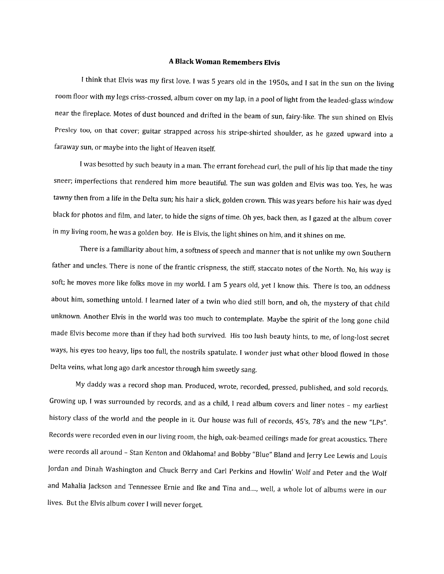## A Black Woman Remembers Elvis

<sup>I</sup> think that Elvis was my first love. <sup>I</sup> was <sup>5</sup> years old in the 1950s, and <sup>I</sup> sat in the sun on the living room floor with my legs criss-crossed, album cover on my lap, in <sup>a</sup> pooi of light from the leaded-glass window near the fireplace. Motes of dust bounced and drifted in the beam of sun, fairy-like. The sun shined on Elvis Presley too, on that cover; guitar strapped across his stripe-shirted shoulder, as he gazed upward into <sup>a</sup> faraway sun, or maybe into the light of Heaven itself.

<sup>I</sup> was besotted by such beauty in <sup>a</sup> man. The errant forehead curl, the pull of his lip that made the tiny sneer; imperfections that rendered him more beautiful. The sun was golden and Elvis was too. Yes, he was tawny then from <sup>a</sup> life in the Delta sun; his hair <sup>a</sup> slick, golden crown. This was years before his hair was dyed black for photos and film, and later, to hide the signs of time. Oh yes, back then, as <sup>I</sup> gazed at the album cover in my living room, he was <sup>a</sup> golden boy. He is Elvis, the light shines on him, and it shines on me.

There is <sup>a</sup> familiarity about him, <sup>a</sup> softness of speech and manner that is not unlike my own Southern father and uncles. There is none of the frantic crispness, the stiff, staccato notes of the North. No, his way is soft; he moves more like folks move in my world. <sup>I</sup> am <sup>5</sup> years old, yet <sup>I</sup> know this. There is too, an oddness about him, something untold. <sup>I</sup> learned later of <sup>a</sup> twin who died still born, and oh, the mystery of that child unknown. Another Elvis in the world was too much to contemplate. Maybe the spirit of the long gone child made Elvis become more than if they had both survived. His too lush beauty hints, to me, of long-lost secret ways, his eyes too heavy, lips too full, the nostrils spatulate. <sup>I</sup> wonder just what other blood flowed in those Delta veins, what long ago dark ancestor through him sweetly sang.

My daddy was <sup>a</sup> record shop man. Produced, wrote, recorded, pressed, published, and sold records. Growing up, <sup>I</sup> was surrounded by records, and as <sup>a</sup> child, <sup>I</sup> read album covers and liner notes — my earliest history class of the world and the people in it. Our house was full of records, 45's, 78's and the new "LPs". Records were recorded even in our living room, the high, oak-beamed ceilings made for great acoustics. There were records all around - Stan Kenton and Oklahoma! and Bobby "Blue" Bland and Jerry Lee Lewis and Louis Jordan and Dinah Washington and Chuck Berry and Carl Perkins and Howlin' Wolf and Peter and the Wolf and Mahalia Jackson and Tennessee Ernie and Ike and Tina and...., well, a whole lot of albums were in our lives. But the Elvis album cover <sup>I</sup> will never forget.